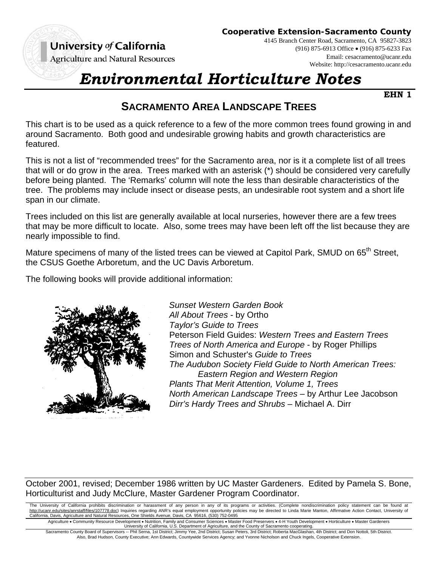

**Agriculture and Natural Resources** 

**Cooperative Extension-Sacramento County**

4145 Branch Center Road, Sacramento, CA 95827-3823 (916) 875-6913 Office (916) 875-6233 Fax Email: cesacramento@ucanr.edu Website: http://cesacramento.ucanr.edu

## *Environmental Horticulture Notes*

**EHN 1**

## **SACRAMENTO AREA LANDSCAPE TREES**

This chart is to be used as a quick reference to a few of the more common trees found growing in and around Sacramento. Both good and undesirable growing habits and growth characteristics are featured.

This is not a list of "recommended trees" for the Sacramento area, nor is it a complete list of all trees that will or do grow in the area. Trees marked with an asterisk (\*) should be considered very carefully before being planted. The 'Remarks' column will note the less than desirable characteristics of the tree. The problems may include insect or disease pests, an undesirable root system and a short life span in our climate.

Trees included on this list are generally available at local nurseries, however there are a few trees that may be more difficult to locate. Also, some trees may have been left off the list because they are nearly impossible to find.

Mature specimens of many of the listed trees can be viewed at Capitol Park, SMUD on 65<sup>th</sup> Street, the CSUS Goethe Arboretum, and the UC Davis Arboretum.

The following books will provide additional information:



*Sunset Western Garden Book All About Trees* - by Ortho *Taylor's Guide to Trees* Peterson Field Guides: *Western Trees and Eastern Trees Trees of North America and Europe* - by Roger Phillips Simon and Schuster's *Guide to Trees The Audubon Society Field Guide to North American Trees: Eastern Region and Western Region Plants That Merit Attention, Volume 1, Trees North American Landscape Trees* – by Arthur Lee Jacobson *Dirr's Hardy Trees and Shrubs* – Michael A. Dirr

October 2001, revised; December 1986 written by UC Master Gardeners. Edited by Pamela S. Bone, Horticulturist and Judy McClure, Master Gardener Program Coordinator.

The University of California prohibits discrimination or harassment of any person in any of its programs or activities. (Complete nondiscrimination policy statement can be found at http://ucanr.edu/sites/anrstaff/files/107778.doc) Inquiries regarding ANR's equal employment opportunity policies may be directed to Linda Marie Manton, Affirmative Action Contact, University of California, Davis, Agriculture and Natural Resources, One Shields Avenue, Davis, CA 95616, (530) 752-0495

Agriculture • Community Resource Development • Nutrition, Family and Consumer Sciences • Master Food Preservers • 4-H Youth Development • Horticulture • Master Gardeners<br>University of California, U.S. Department of Agricu

Sacramento County Board of Supervisors -- Phil Serna, 1st District; Jimmy Yee, 2nd District; Susan Peters, 3rd District; Roberta MacGlashan, 4th District; and Don Nottoli, 5th District. Also, Brad Hudson, County Executive; Ann Edwards, Countywide Services Agency; and Yvonne Nicholson and Chuck Ingels, Cooperative Extension.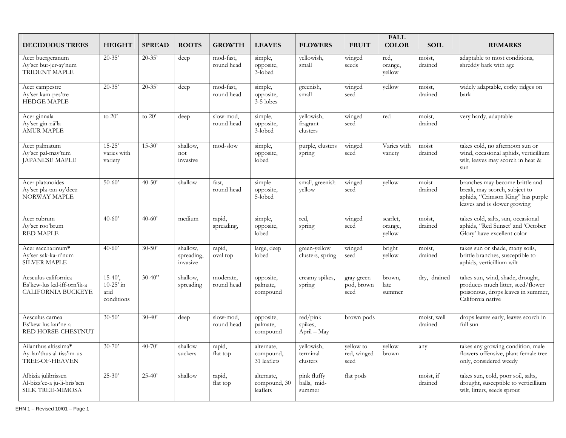| <b>DECIDUOUS TREES</b>                                                        | <b>HEIGHT</b>                                           | <b>SPREAD</b> | <b>ROOTS</b>                       | <b>GROWTH</b>           | <b>LEAVES</b>                          | <b>FLOWERS</b>                       | <b>FRUIT</b>                     | <b>FALL</b><br><b>COLOR</b>   | <b>SOIL</b>            | <b>REMARKS</b>                                                                                                                        |
|-------------------------------------------------------------------------------|---------------------------------------------------------|---------------|------------------------------------|-------------------------|----------------------------------------|--------------------------------------|----------------------------------|-------------------------------|------------------------|---------------------------------------------------------------------------------------------------------------------------------------|
| Acer buergeranum<br>Ay'ser bur-jer-ay'num<br>TRIDENT MAPLE                    | $20 - 35'$                                              | $20 - 35'$    | deep                               | mod-fast,<br>round head | simple,<br>opposite,<br>3-lobed        | yellowish,<br>small                  | winged<br>seeds                  | red,<br>orange,<br>yellow     | moist,<br>drained      | adaptable to most conditions,<br>shreddy bark with age                                                                                |
| Acer campestre<br>Ay'ser kam-pes'tre<br><b>HEDGE MAPLE</b>                    | $20 - 35'$                                              | $20 - 35'$    | deep                               | mod-fast,<br>round head | simple,<br>opposite,<br>3-5 lobes      | greenish,<br>small                   | winged<br>seed                   | yellow                        | moist,<br>drained      | widely adaptable, corky ridges on<br>bark                                                                                             |
| Acer ginnala<br>Ay'ser gin-nā'la<br><b>AMUR MAPLE</b>                         | to $20'$                                                | to $20'$      | deep                               | slow-mod,<br>round head | simple,<br>opposite,<br>3-lobed        | yellowish,<br>fragrant<br>clusters   | winged<br>seed                   | red                           | moist,<br>drained      | very hardy, adaptable                                                                                                                 |
| Acer palmatum<br>Ay'ser pal-may'tum<br><b>JAPANESE MAPLE</b>                  | $15-25'$<br>varies with<br>variety                      | $15 - 30'$    | shallow,<br>not<br>invasive        | mod-slow                | simple,<br>opposite,<br>lobed          | purple, clusters<br>spring           | winged<br>seed                   | Varies with<br>variety        | moist<br>drained       | takes cold, no afternoon sun or<br>wind, occasional aphids, verticillium<br>wilt, leaves may scorch in heat &<br>sun                  |
| Acer platanoides<br>Ay'ser pla-tan-oy'deez<br>NORWAY MAPLE                    | $50-60'$                                                | $40 - 50'$    | shallow                            | fast,<br>round head     | simple<br>opposite,<br>5-lobed         | small, greenish<br>yellow            | winged<br>seed                   | yellow                        | moist<br>drained       | branches may become brittle and<br>break, may scorch, subject to<br>aphids, "Crimson King" has purple<br>leaves and is slower growing |
| Acer rubrum<br>Ay'ser roo'brum<br><b>RED MAPLE</b>                            | $40-60'$                                                | $40 - 60'$    | medium                             | rapid,<br>spreading,    | simple,<br>opposite,<br>lobed          | red,<br>spring                       | winged<br>seed                   | scarlet.<br>orange,<br>yellow | moist,<br>drained      | takes cold, salts, sun, occasional<br>aphids, "Red Sunset' and 'October<br>Glory' have excellent color                                |
| Acer saccharinum*<br>Ay'ser sak-ka-ri'num<br><b>SILVER MAPLE</b>              | $40-60'$                                                | $30 - 50'$    | shallow,<br>spreading,<br>invasive | rapid,<br>oval top      | large, deep<br>lobed                   | green-yellow<br>clusters, spring     | winged<br>seed                   | bright<br>yellow              | moist,<br>drained      | takes sun or shade, many soils,<br>brittle branches, susceptible to<br>aphids, verticillium wilt                                      |
| Aesculus californica<br>Es'kew-lus kal-iff-orn'ik-a<br>CALIFORNIA BUCKEYE     | $15-40'$ ,<br>10-25 $^{\circ}$ in<br>arid<br>conditions | $30 - 40$ "   | shallow,<br>spreading              | moderate,<br>round head | opposite,<br>palmate,<br>compound      | creamy spikes,<br>spring             | gray-green<br>pod, brown<br>seed | brown,<br>late<br>summer      | dry, drained           | takes sun, wind, shade, drought,<br>produces much litter, seed/flower<br>poisonous, drops leaves in summer,<br>California native      |
| Aesculus carnea<br>Es'kew-lus kar'ne-a<br>RED HORSE-CHESTNUT                  | $30 - 50'$                                              | $30-40'$      | deep                               | slow-mod,<br>round head | opposite,<br>palmate,<br>compound      | red/pink<br>spikes,<br>April – May   | brown pods                       |                               | moist, well<br>drained | drops leaves early, leaves scorch in<br>full sun                                                                                      |
| Ailanthus altissima*<br>Ay-lan'thus al-tiss'im-us<br>TREE-OF-HEAVEN           | $30 - 70'$                                              | $40 - 70'$    | shallow<br>suckers                 | rapid,<br>flat top      | alternate,<br>compound,<br>31 leaflets | yellowish,<br>terminal<br>clusters   | yellow to<br>red, winged<br>seed | yellow<br>brown               | any                    | takes any growing condition, male<br>flowers offensive, plant female tree<br>only, considered weedy                                   |
| Albizia julibrissen<br>Al-bizz'ee-a ju-li-bris'sen<br><b>SILK TREE-MIMOSA</b> | $25-30'$                                                | $25 - 40'$    | shallow                            | rapid,<br>flat top      | alternate,<br>compound, 30<br>leaflets | pink fluffy<br>balls, mid-<br>summer | flat pods                        |                               | moist, if<br>drained   | takes sun, cold, poor soil, salts,<br>drought, susceptible to verticillium<br>wilt, litters, seeds sprout                             |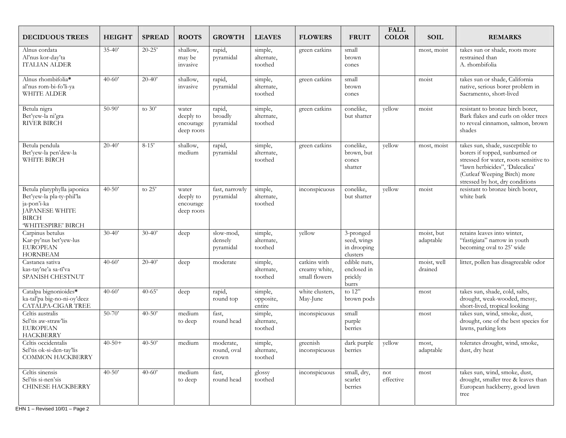| <b>DECIDUOUS TREES</b>                                                                                                          | <b>HEIGHT</b> | <b>SPREAD</b> | <b>ROOTS</b>                                  | <b>GROWTH</b>                     | <b>LEAVES</b>                    | <b>FLOWERS</b>                                 | <b>FRUIT</b>                                                     | <b>FALL</b><br><b>COLOR</b> | <b>SOIL</b>             | <b>REMARKS</b>                                                                                                                                                                                                     |
|---------------------------------------------------------------------------------------------------------------------------------|---------------|---------------|-----------------------------------------------|-----------------------------------|----------------------------------|------------------------------------------------|------------------------------------------------------------------|-----------------------------|-------------------------|--------------------------------------------------------------------------------------------------------------------------------------------------------------------------------------------------------------------|
| Alnus cordata<br>Al'nus kor-day'ta<br>ITALIAN ALDER                                                                             | $35-40'$      | $20 - 25'$    | shallow,<br>may be<br>invasive                | rapid,<br>pyramidal               | simple,<br>alternate,<br>toothed | green catkins                                  | small<br>brown<br>cones                                          |                             | most, moist             | takes sun or shade, roots more<br>restrained than<br>A. rhombifolia                                                                                                                                                |
| Alnus rhombifolia*<br>al'nus rom-bi-fo'li-ya<br>WHITE ALDER                                                                     | $40 - 60'$    | $20 - 40'$    | shallow,<br>invasive                          | rapid,<br>pyramidal               | simple,<br>alternate,<br>toothed | green catkins                                  | small<br>brown<br>cones                                          |                             | moist                   | takes sun or shade, California<br>native, serious borer problem in<br>Sacramento, short-lived                                                                                                                      |
| Betula nigra<br>Bet'yew-la ni'gra<br><b>RIVER BIRCH</b>                                                                         | $50-90'$      | to $30'$      | water<br>deeply to<br>encourage<br>deep roots | rapid,<br>broadly<br>pyramidal    | simple,<br>alternate,<br>toothed | green catkins                                  | conelike,<br>but shatter                                         | yellow                      | moist                   | resistant to bronze birch borer,<br>Bark flakes and curls on older trees<br>to reveal cinnamon, salmon, brown<br>shades                                                                                            |
| Betula pendula<br>Bet'yew-la pen'dew-la<br>WHITE BIRCH                                                                          | $20-40'$      | $8 - 15'$     | shallow,<br>medium                            | rapid,<br>pyramidal               | simple,<br>alternate,<br>toothed | green catkins                                  | conelike,<br>brown, but<br>cones<br>shatter                      | yellow                      | most, moist             | takes sun, shade, susceptible to<br>borers if topped, sunburned or<br>stressed for water, roots sensitive to<br>"lawn herbicides", 'Dalecalica'<br>(Cutleaf Weeping Birch) more<br>stressed by hot, dry conditions |
| Betula platyphylla japonica<br>Bet'yew-la pla-ty-phil'la<br>ja-pon'i-ka<br>JAPANESE WHITE<br><b>BIRCH</b><br>'WHITESPIRE' BIRCH | $40 - 50'$    | to 25'        | water<br>deeply to<br>encourage<br>deep roots | fast, narrowly<br>pyramidal       | simple,<br>alternate,<br>toothed | inconspicuous                                  | conelike,<br>but shatter                                         | yellow                      | moist                   | resistant to bronze birch borer,<br>white bark                                                                                                                                                                     |
| Carpinus betulus<br>Kar-py'nus bet'yew-lus<br><b>EUROPEAN</b><br><b>HORNBEAM</b>                                                | $30 - 40'$    | $30 - 40'$    | deep                                          | slow-mod,<br>densely<br>pyramidal | simple,<br>alternate,<br>toothed | yellow                                         | $\overline{3$ -pronged<br>seed, wings<br>in drooping<br>clusters |                             | moist, but<br>adaptable | retains leaves into winter,<br>"fastigiata" narrow in youth<br>becoming oval to 25' wide                                                                                                                           |
| Castanea sativa<br>kas-tay'ne'a sa-tī'va<br>SPANISH CHESTNUT                                                                    | $40 - 60'$    | $20 - 40'$    | deep                                          | moderate                          | simple,<br>alternate,<br>toothed | catkins with<br>creamy white,<br>small flowers | edible nuts,<br>enclosed in<br>prickly<br>burrs                  |                             | moist, well<br>drained  | litter, pollen has disagreeable odor                                                                                                                                                                               |
| Catalpa bignonioides*<br>ka-tal'pa big-no-ni-oy'deez<br>CATALPA-CIGAR TREE                                                      | $40 - 60'$    | $40 - 65'$    | deep                                          | rapid,<br>round top               | simple,<br>opposite,<br>entire   | white clusters,<br>May-June                    | to $12"$<br>brown pods                                           |                             | most                    | takes sun, shade, cold, salts,<br>drought, weak-wooded, messy,<br>short-lived, tropical looking                                                                                                                    |
| Celtis australis<br>Sel'tis aw-straw'lis<br><b>EUROPEAN</b><br><b>HACKBERRY</b>                                                 | $50 - 70'$    | $40 - 50'$    | medium<br>to deep                             | fast.<br>round head               | simple,<br>alternate,<br>toothed | inconspicuous                                  | small<br>purple<br>berries                                       |                             | most                    | takes sun, wind, smoke, dust,<br>drought, one of the best species for<br>lawns, parking lots                                                                                                                       |
| Celtis occidentalis<br>Sel'tis ok-si-den-tay'lis<br><b>COMMON HACKBERRY</b>                                                     | $40 - 50 +$   | $40 - 50'$    | medium                                        | moderate,<br>round, oval<br>crown | simple,<br>alternate,<br>toothed | greenish<br>inconspicuous                      | dark purple<br>berries                                           | yellow                      | most,<br>adaptable      | tolerates drought, wind, smoke,<br>dust, dry heat                                                                                                                                                                  |
| Celtis sinensis<br>Sel'tis si-nen'sis<br><b>CHINESE HACKBERRY</b>                                                               | $40-50'$      | $40 - 60'$    | medium<br>to deep                             | fast,<br>round head               | glossy<br>toothed                | inconspicuous                                  | small, dry,<br>scarlet<br>berries                                | not<br>effective            | most                    | takes sun, wind, smoke, dust,<br>drought, smaller tree & leaves than<br>European hackberry, good lawn<br>tree                                                                                                      |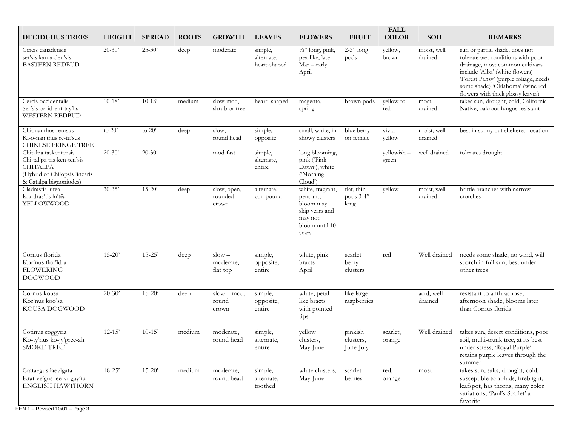| <b>DECIDUOUS TREES</b>                                                                                                            | <b>HEIGHT</b> | <b>SPREAD</b> | <b>ROOTS</b> | <b>GROWTH</b>                     | <b>LEAVES</b>                         | <b>FLOWERS</b>                                                                                    | <b>FRUIT</b>                      | <b>FALL</b><br><b>COLOR</b> | <b>SOIL</b>            | <b>REMARKS</b>                                                                                                                                                                                                                                             |
|-----------------------------------------------------------------------------------------------------------------------------------|---------------|---------------|--------------|-----------------------------------|---------------------------------------|---------------------------------------------------------------------------------------------------|-----------------------------------|-----------------------------|------------------------|------------------------------------------------------------------------------------------------------------------------------------------------------------------------------------------------------------------------------------------------------------|
| Cercis canadensis<br>ser'sis kan-a-den'sis<br><b>EASTERN REDBUD</b>                                                               | $20 - 30'$    | $25-30'$      | deep         | moderate                          | simple,<br>alternate,<br>heart-shaped | $\frac{1}{2}$ long, pink,<br>pea-like, late<br>$Mar - early$<br>April                             | $2-3"$ long<br>pods               | yellow,<br>brown            | moist, well<br>drained | sun or partial shade, does not<br>tolerate wet conditions with poor<br>drainage, most common cultivars<br>include 'Alba' (white flowers)<br>'Forest Pansy' (purple foliage, needs<br>some shade) 'Oklahoma' (wine red<br>flowers with thick glossy leaves) |
| Cercis occidentalis<br>Ser'sis ox-id-ent-tay'lis<br><b>WESTERN REDBUD</b>                                                         | $10 - 18'$    | $10 - 18'$    | medium       | slow-mod.<br>shrub or tree        | heart-shaped                          | magenta,<br>spring                                                                                | brown pods                        | yellow to<br>red            | most,<br>drained       | takes sun, drought, cold, California<br>Native, oakroot fungus resistant                                                                                                                                                                                   |
| Chionanthus retusus<br>Kī-o-nan'thus re-tu'sus<br>CHINESE FRINGE TREE                                                             | to $20'$      | to $20'$      | deep         | slow,<br>round head               | simple,<br>opposite                   | small, white, in<br>showy clusters                                                                | blue berry<br>on female           | vivid<br>yellow             | moist, well<br>drained | best in sunny but sheltered location                                                                                                                                                                                                                       |
| Chitalpa taskentensis<br>Chi-tal'pa tas-ken-ten'sis<br><b>CHITALPA</b><br>(Hybrid of Chilopsis linearis<br>& Catalpa bignoniodes) | $20 - 30'$    | $20 - 30'$    |              | mod-fast                          | simple,<br>alternate,<br>entire       | long blooming,<br>pink ('Pink<br>Dawn'), white<br>('Morning<br>Cloud')                            |                                   | yellowish-<br>green         | well drained           | tolerates drought                                                                                                                                                                                                                                          |
| Cladrastis lutea<br>Kla-dras'tis lu'tēa<br>YELLOWWOOD                                                                             | $30 - 35'$    | $15 - 20'$    | deep         | slow, open,<br>rounded<br>crown   | alternate,<br>compound                | white, fragrant,<br>pendant,<br>bloom may<br>skip years and<br>may not<br>bloom until 10<br>years | flat, thin<br>pods 3-4"<br>long   | yellow                      | moist, well<br>drained | brittle branches with narrow<br>crotches                                                                                                                                                                                                                   |
| Cornus florida<br>Kor'nus flor'id-a<br><b>FLOWERING</b><br><b>DOGWOOD</b>                                                         | $15 - 20'$    | $15 - 25'$    | deep         | $slow -$<br>moderate,<br>flat top | simple,<br>opposite,<br>entire        | white, pink<br>bracts<br>April                                                                    | scarlet<br>berry<br>clusters      | red                         | Well drained           | needs some shade, no wind, will<br>scorch in full sun, best under<br>other trees                                                                                                                                                                           |
| Cornus kousa<br>Kor'nus koo'sa<br>KOUSA DOGWOOD                                                                                   | $20 - 30'$    | $15 - 20'$    | deep         | $slow - mod$<br>round<br>crown    | simple,<br>opposite,<br>entire        | white, petal-<br>like bracts<br>with pointed<br>tips                                              | like large<br>raspberries         |                             | acid, well<br>drained  | resistant to anthracnose,<br>afternoon shade, blooms later<br>than Cornus florida                                                                                                                                                                          |
| Cotinus coggyria<br>Ko-ty'nus ko-jy'gree-ah<br>SMOKE TREE                                                                         | $12 - 15'$    | $10-15'$      | medium       | moderate,<br>round head           | simple,<br>alternate,<br>entire       | yellow<br>clusters,<br>May-June                                                                   | pinkish<br>clusters.<br>June-July | scarlet,<br>orange          | Well drained           | takes sun, desert conditions, poor<br>soil, multi-trunk tree, at its best<br>under stress, 'Royal Purple'<br>retains purple leaves through the<br>summer                                                                                                   |
| Crataegus laevigata<br>Krat-ee'gus lee-vi-gay'ta<br><b>ENGLISH HAWTHORN</b>                                                       | $18-25'$      | $15 - 20'$    | medium       | moderate,<br>round head           | simple,<br>alternate,<br>toothed      | white clusters,<br>May-June                                                                       | scarlet<br>berries                | red,<br>orange              | most                   | takes sun, salts, drought, cold,<br>susceptible to aphids, fireblight,<br>leafspot, has thorns, many color<br>variations, 'Paul's Scarlet' a<br>favorite                                                                                                   |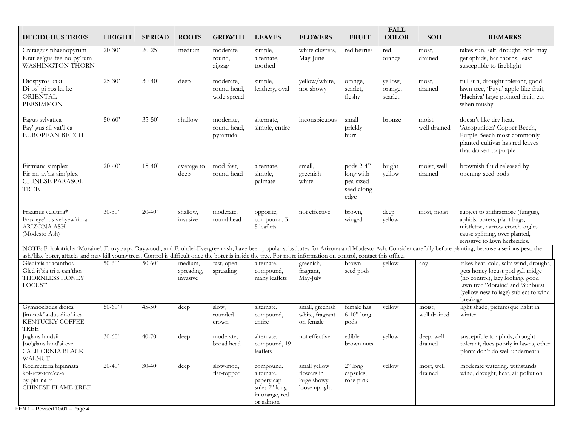| <b>DECIDUOUS TREES</b>                                                                                                                                           | <b>HEIGHT</b> | <b>SPREAD</b> | <b>ROOTS</b>                      | <b>GROWTH</b>                           | <b>LEAVES</b>                                                                          | <b>FLOWERS</b>                                             | <b>FRUIT</b>                                              | <b>FALL</b><br><b>COLOR</b>   | <b>SOIL</b>            | <b>REMARKS</b>                                                                                                                                                                                               |
|------------------------------------------------------------------------------------------------------------------------------------------------------------------|---------------|---------------|-----------------------------------|-----------------------------------------|----------------------------------------------------------------------------------------|------------------------------------------------------------|-----------------------------------------------------------|-------------------------------|------------------------|--------------------------------------------------------------------------------------------------------------------------------------------------------------------------------------------------------------|
| Crataegus phaenopyrum<br>Krat-ee'gus fee-no-py'rum<br><b>WASHINGTON THORN</b>                                                                                    | $20 - 30'$    | $20-25'$      | medium                            | moderate<br>round,<br>zigzag            | simple,<br>alternate,<br>toothed                                                       | white clusters,<br>May-June                                | red berries                                               | red,<br>orange                | most,<br>drained       | takes sun, salt, drought, cold may<br>get aphids, has thorns, least<br>susceptible to fireblight                                                                                                             |
| Diospyros kaki<br>Di-os'-pi-ros ka-ke<br><b>ORIENTAL</b><br><b>PERSIMMON</b>                                                                                     | $25 - 30'$    | $30 - 40'$    | deep                              | moderate,<br>round head,<br>wide spread | simple,<br>leathery, oval                                                              | yellow/white,<br>not showy                                 | orange,<br>scarlet,<br>fleshy                             | yellow,<br>orange,<br>scarlet | most,<br>drained       | full sun, drought tolerant, good<br>lawn tree, 'Fuyu' apple-like fruit,<br>'Hachiya' large pointed fruit, eat<br>when mushy                                                                                  |
| Fagus sylvatica<br>Fay'-gus sil-vat'i-ca<br><b>EUROPEAN BEECH</b>                                                                                                | $50 - 60'$    | $35 - 50'$    | shallow                           | moderate,<br>round head,<br>pyramidal   | alternate,<br>simple, entire                                                           | inconspicuous                                              | small<br>prickly<br>burr                                  | bronze                        | moist<br>well drained  | doesn't like dry heat.<br>'Atropunicea' Copper Beech,<br>Purple Beech most commonly<br>planted cultivar has red leaves<br>that darken to purple                                                              |
| Firmiana simplex<br>Fir-mi-ay'na sim'plex<br><b>CHINESE PARASOL</b><br>TREE                                                                                      | $20 - 40'$    | $15 - 40'$    | average to<br>deep                | mod-fast,<br>round head                 | alternate,<br>simple,<br>palmate                                                       | small,<br>greenish<br>white                                | pods 2-4"<br>long with<br>pea-sized<br>seed along<br>edge | bright<br>yellow              | moist, well<br>drained | brownish fluid released by<br>opening seed pods                                                                                                                                                              |
| Fraxinus velutina*<br>Frax-eye'nus vel-yew'tin-a<br>ARIZONA ASH<br>(Modesto Ash)                                                                                 | $30 - 50'$    | $20 - 40'$    | shallow,<br>invasive              | moderate,<br>round head                 | opposite,<br>compound, 3-<br>5 leaflets                                                | not effective                                              | brown,<br>winged                                          | deep<br>yellow                | most, moist            | subject to anthracnose (fungus),<br>aphids, borers, plant bugs,<br>mistletoe, narrow crotch angles<br>cause splitting, over planted,<br>sensitive to lawn herbicides.                                        |
| ash/lilac borer, attacks and may kill young trees. Control is difficult once the borer is inside the tree. For more information on control, contact this office. |               |               |                                   |                                         |                                                                                        |                                                            |                                                           |                               |                        | NOTE: F. holotricha 'Moraine', F. oxycarpa 'Raywood', and F. uhdei-Evergreen ash, have been popular substitutes for Arizona and Modesto Ash. Consider carefully before planting, because a serious pest, the |
| Gleditsia triacanthos<br>Gled-it'sia tri-a-can'thos<br>THORNLESS HONEY<br><b>LOCUST</b>                                                                          | $50-60'$      | $50 - 60'$    | medium,<br>spreading,<br>invasive | fast, open<br>spreading                 | alternate,<br>compound,<br>many leaflets                                               | greenish,<br>fragrant,<br>May-July                         | brown<br>seed pods                                        | yellow                        | any                    | takes heat, cold, salts wind, drought,<br>gets honey locust pod gall midge<br>(no control), lacy looking, good<br>lawn tree 'Moraine' and 'Sunburst<br>(yellow new foliage) subject to wind<br>breakage      |
| Gymnocladus dioica<br>Jim-nok'la-dus di-o'-i-ca<br><b>KENTUCKY COFFEE</b><br><b>TREE</b>                                                                         | $50-60'+$     | $45 - 50'$    | deep                              | slow,<br>rounded<br>crown               | alternate,<br>compound,<br>entire                                                      | small, greenish<br>white, fragrant<br>on female            | female has<br>$6-10"$ long<br>pods                        | yellow                        | moist,<br>well drained | light shade, picturesque habit in<br>winter                                                                                                                                                                  |
| Juglans hindsii<br>Joo'glans hind'si-eye<br>CALIFORNIA BLACK<br><b>WALNUT</b>                                                                                    | $30 - 60'$    | $40 - 70'$    | deep                              | moderate,<br>broad head                 | alternate,<br>compound, 19<br>leaflets                                                 | not effective                                              | edible<br>brown nuts                                      | yellow                        | deep, well<br>drained  | susceptible to aphids, drought<br>tolerant, does poorly in lawns, other<br>plants don't do well underneath                                                                                                   |
| Koelreuteria bipinnata<br>kol-rew-tere'ee-a<br>by-pin-na-ta<br>CHINESE FLAME TREE                                                                                | $20-40'$      | $30-40'$      | deep                              | slow-mod,<br>flat-topped                | compound,<br>alternate,<br>papery cap-<br>sules 2" long<br>in orange, red<br>or salmon | small yellow<br>flowers in<br>large showy<br>loose upright | $2"$ long<br>capsules,<br>rose-pink                       | yellow                        | most, well<br>drained  | moderate watering, withstands<br>wind, drought, heat, air pollution                                                                                                                                          |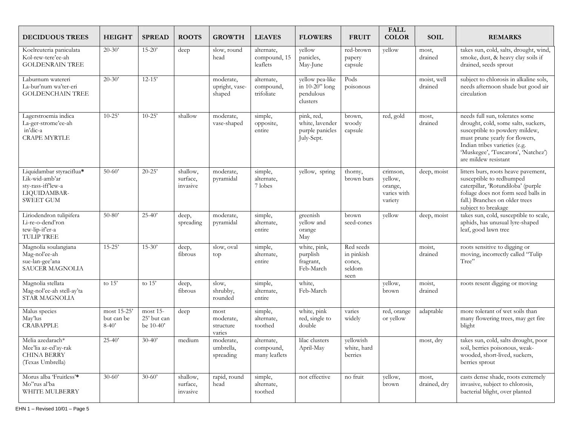| <b>DECIDUOUS TREES</b>                                                                              | <b>HEIGHT</b>                          | <b>SPREAD</b>                          | <b>ROOTS</b>                     | <b>GROWTH</b>                            | <b>LEAVES</b>                            | <b>FLOWERS</b>                                                 | <b>FRUIT</b>                                        | <b>FALL</b><br><b>COLOR</b>                              | <b>SOIL</b>            | <b>REMARKS</b>                                                                                                                                                                                                                            |
|-----------------------------------------------------------------------------------------------------|----------------------------------------|----------------------------------------|----------------------------------|------------------------------------------|------------------------------------------|----------------------------------------------------------------|-----------------------------------------------------|----------------------------------------------------------|------------------------|-------------------------------------------------------------------------------------------------------------------------------------------------------------------------------------------------------------------------------------------|
| Koelreuteria paniculata<br>Kol-rew-tere'ee-ah<br><b>GOLDENRAIN TREE</b>                             | $20 - 30'$                             | $15 - 20'$                             | deep                             | slow, round<br>head                      | alternate,<br>compound, 15<br>leaflets   | yellow<br>panicles,<br>May-June                                | red-brown<br>papery<br>capsule                      | yellow                                                   | most,<br>drained       | takes sun, cold, salts, drought, wind,<br>smoke, dust, & heavy clay soils if<br>drained, seeds sprout                                                                                                                                     |
| Laburnum watereri<br>La-bur'num wa'ter-eri<br><b>GOLDENCHAIN TREE</b>                               | $20 - 30'$                             | $12 - 15'$                             |                                  | moderate.<br>upright, vase-<br>shaped    | alternate,<br>compound,<br>trifoliate    | yellow pea-like<br>in 10-20" long<br>pendulous<br>clusters     | Pods<br>poisonous                                   |                                                          | moist, well<br>drained | subject to chlorosis in alkaline sols,<br>needs afternoon shade but good air<br>circulation                                                                                                                                               |
| Lagerstroemia indica<br>La-ger-strome'ee-ah<br>in'dic-a<br><b>CRAPE MYRTLE</b>                      | $10 - 25'$                             | $10 - 25'$                             | shallow                          | moderate,<br>vase-shaped                 | simple,<br>opposite,<br>entire           | pink, red,<br>white, lavender<br>purple panicles<br>July-Sept. | brown,<br>woody<br>capsule                          | red, gold                                                | most,<br>drained       | needs full sun, tolerates some<br>drought, cold, some salts, suckers,<br>susceptible to powdery mildew,<br>must prune yearly for flowers,<br>Indian tribes varieties (e.g.<br>'Muskegee', 'Tuscarora', 'Natchez')<br>are mildew resistant |
| Liquidambar styraciflua*<br>Lik-wid-amb'ar<br>sty-rass-ifflew-a<br>LIQUIDAMBAR-<br><b>SWEET GUM</b> | $50-60'$                               | $20 - 25'$                             | shallow,<br>surface,<br>invasive | moderate,<br>pyramidal                   | simple,<br>alternate,<br>7 lobes         | yellow, spring                                                 | thorny,<br>brown burs                               | crimson,<br>yellow,<br>orange,<br>varies with<br>variety | deep, moist            | litters burs, roots heave pavement,<br>susceptible to redhumped<br>caterpillar, 'Rotundiloba' (purple<br>foliage does not form seed balls in<br>fall.) Branches on older trees<br>subject to breakage                                     |
| Liriodendron tulipifera<br>Li-re-o-dend'ron<br>tew-lip-if'er-a<br><b>TULIP TREE</b>                 | $50 - 80'$                             | $25 - 40'$                             | deep,<br>spreading               | moderate,<br>pyramidal                   | simple,<br>alternate,<br>entire          | greenish<br>yellow and<br>orange<br>May                        | brown<br>seed-cones                                 | yellow                                                   | deep, moist            | takes sun, cold, susceptible to scale,<br>aphids, has unusual lyre-shaped<br>leaf, good lawn tree                                                                                                                                         |
| Magnolia soulangiana<br>Mag-nol'ee-ah<br>sue-lan-gee'ana<br><b>SAUCER MAGNOLIA</b>                  | $15 - 25'$                             | $15 - 30'$                             | deep,<br>fibrous                 | slow, oval<br>top                        | simple,<br>alternate,<br>entire          | white, pink,<br>purplish<br>fragrant,<br>Feb-March             | Red seeds<br>in pinkish<br>cones,<br>seldom<br>seen |                                                          | moist,<br>drained      | roots sensitive to digging or<br>moving, incorrectly called "Tulip<br>Tree"                                                                                                                                                               |
| Magnolia stellata<br>Mag-nol'ee-ah stell-ay'ta<br><b>STAR MAGNOLIA</b>                              | to $15'$                               | to $15'$                               | deep,<br>fibrous                 | slow,<br>shrubby,<br>rounded             | simple,<br>alternate,<br>entire          | white,<br>Feb-March                                            |                                                     | yellow,<br>brown                                         | moist,<br>drained      | roots resent digging or moving                                                                                                                                                                                                            |
| Malus species<br>May'lus<br><b>CRABAPPLE</b>                                                        | most 15-25'<br>but can be<br>$8 - 40'$ | most 15-<br>25' but can<br>be $10-40'$ | deep                             | most<br>moderate,<br>structure<br>varies | simple,<br>alternate,<br>toothed         | white, pink<br>red, single to<br>double                        | varies<br>widely                                    | red, orange<br>or yellow                                 | adaptable              | more tolerant of wet soils than<br>many flowering trees, may get fire<br>blight                                                                                                                                                           |
| Melia azedarach*<br>Mee'lia az-ed'ay-rak<br><b>CHINA BERRY</b><br>(Texas Umbrella)                  | $25 - 40'$                             | $30 - 40'$                             | medium                           | moderate,<br>umbrella,<br>spreading      | alternate,<br>compound,<br>many leaflets | lilac clusters<br>April-May                                    | yellowish<br>white, hard<br>berries                 |                                                          | most, dry              | takes sun, cold, salts drought, poor<br>soil, berries poisonous, weak-<br>wooded, short-lived, suckers,<br>berries sprout                                                                                                                 |
| Morus alba 'Fruitless'*<br>Mo"rus al'ba<br>WHITE MULBERRY                                           | $30 - 60'$                             | $30 - 60'$                             | shallow,<br>surface,<br>invasive | rapid, round<br>head                     | simple,<br>alternate,<br>toothed         | not effective                                                  | no fruit                                            | yellow,<br>brown                                         | most,<br>drained, dry  | casts dense shade, roots extremely<br>invasive, subject to chlorosis,<br>bacterial blight, over planted                                                                                                                                   |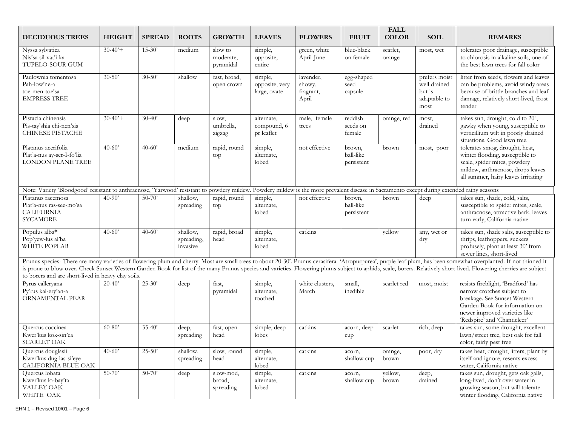| <b>DECIDUOUS TREES</b>                                                                                                                                                                     | <b>HEIGHT</b> | <b>SPREAD</b> | <b>ROOTS</b>                       | <b>GROWTH</b>                     | <b>LEAVES</b>                             | <b>FLOWERS</b>                            | <b>FRUIT</b>                      | <b>FALL</b><br><b>COLOR</b> | <b>SOIL</b>                                                     | <b>REMARKS</b>                                                                                                                                                                                                                                                                                                                                                                                                                           |
|--------------------------------------------------------------------------------------------------------------------------------------------------------------------------------------------|---------------|---------------|------------------------------------|-----------------------------------|-------------------------------------------|-------------------------------------------|-----------------------------------|-----------------------------|-----------------------------------------------------------------|------------------------------------------------------------------------------------------------------------------------------------------------------------------------------------------------------------------------------------------------------------------------------------------------------------------------------------------------------------------------------------------------------------------------------------------|
| Nyssa sylvatica<br>Nis'sa sil-vat'i-ka<br>TUPELO-SOUR GUM                                                                                                                                  | $30-40'$ +    | $15 - 30'$    | medium                             | slow to<br>moderate,<br>pyramidal | simple,<br>opposite,<br>entire            | green, white<br>April-June                | blue-black<br>on female           | scarlet,<br>orange          | most, wet                                                       | tolerates poor drainage, susceptible<br>to chlorosis in alkaline soils, one of<br>the best lawn trees for fall color                                                                                                                                                                                                                                                                                                                     |
| Paulownia tomentosa<br>Pah-low'ne-a<br>toe-men-toe'sa<br><b>EMPRESS TREE</b>                                                                                                               | $30 - 50'$    | $30 - 50'$    | shallow                            | fast, broad,<br>open crown        | simple,<br>opposite, very<br>large, ovate | lavender,<br>showy,<br>fragrant,<br>April | egg-shaped<br>seed<br>capsule     |                             | prefers moist<br>well drained<br>but is<br>adaptable to<br>most | litter from seeds, flowers and leaves<br>can be problems, avoid windy areas<br>because of brittle branches and leaf<br>damage, relatively short-lived, frost<br>tender                                                                                                                                                                                                                                                                   |
| Pistacia chinensis<br>Pis-tay'shia chi-nen'sis<br>CHINESE PISTACHE                                                                                                                         | $30-40'$ +    | $30-40'$      | deep                               | slow,<br>umbrella,<br>zigzag      | alternate,<br>compound, 6<br>pr leaflet   | male, female<br>trees                     | reddish<br>seeds on<br>female     | orange, red                 | most,<br>drained                                                | takes sun, drought, cold to 20°,<br>gawky when young, susceptible to<br>verticillium wilt in poorly drained<br>situations. Good lawn tree.                                                                                                                                                                                                                                                                                               |
| Platanus acerifolia<br>Plat'a-nus ay-ser-I-fo'lia<br><b>LONDON PLANE TREE</b>                                                                                                              | $40 - 60'$    | $40 - 60'$    | medium                             | rapid, round<br>top               | simple,<br>alternate,<br>lobed            | not effective                             | brown,<br>ball-like<br>persistent | brown                       | most, poor                                                      | tolerates smog, drought, heat,<br>winter flooding, susceptible to<br>scale, spider mites, powdery<br>mildew, anthracnose, drops leaves<br>all summer, hairy leaves irritating                                                                                                                                                                                                                                                            |
| Note: Variety 'Bloodgood' resistant to anthracnose, 'Yarwood' resistant to powdery mildew. Powdery mildew is the more prevalent disease in Sacramento except during extended rainy seasons |               |               |                                    |                                   |                                           |                                           |                                   |                             |                                                                 |                                                                                                                                                                                                                                                                                                                                                                                                                                          |
| Platanus racemosa<br>Plat'a-nus ras-see-mo'sa<br><b>CALIFORNIA</b><br><b>SYCAMORE</b>                                                                                                      | $40 - 90'$    | $50 - 70'$    | shallow,<br>spreading              | rapid, round<br>top               | simple,<br>alternate,<br>lobed            | not effective                             | brown,<br>ball-like<br>persistent | brown                       | deep                                                            | takes sun, shade, cold, salts,<br>susceptible to spider mites, scale,<br>anthracnose, attractive bark, leaves<br>turn early, California native                                                                                                                                                                                                                                                                                           |
| Populus alba*<br>Pop'yew-lus al'ba<br><b>WHITE POPLAR</b>                                                                                                                                  | $40 - 60'$    | $40 - 60'$    | shallow,<br>spreading,<br>invasive | rapid, broad<br>head              | simple,<br>alternate,<br>lobed            | catkins                                   |                                   | yellow                      | any, wet or<br>dry                                              | takes sun, shade salts, susceptible to<br>thrips, leafhoppers, suckers<br>profusely, plant at least 30' from<br>sewer lines, short-lived                                                                                                                                                                                                                                                                                                 |
| to borers and are short-lived in heavy clay soils.                                                                                                                                         |               |               |                                    |                                   |                                           |                                           |                                   |                             |                                                                 | Prunus species- There are many varieties of flowering plum and cherry. Most are small trees to about 20-30'. Prunus cerasifera 'Atropurpurea', purple leaf plum, has been somewhat overplanted. If not thinned it<br>is prone to blow over. Check Sunset Western Garden Book for list of the many Prunus species and varieties. Flowering plums subject to aphids, scale, borers. Relatively short-lived. Flowering cherries are subject |
| Pyrus calleryana<br>Py'rus kal-ery'an-a<br>ORNAMENTAL PEAR                                                                                                                                 | $20-40'$      | $25 - 30'$    | deep                               | fast.<br>pyramidal                | simple,<br>alternate,<br>toothed          | white clusters,<br>March                  | small,<br>inedible                | scarlet red                 | most, moist                                                     | resists fireblight, 'Bradford' has<br>narrow crotches subject to<br>breakage. See Sunset Western<br>Garden Book for information on<br>newer improved varieties like<br>'Redspire' and 'Chanticleer'                                                                                                                                                                                                                                      |
| Quercus coccinea<br>Kwer'kus kok-sin'ea<br><b>SCARLET OAK</b>                                                                                                                              | $60 - 80'$    | $35 - 40'$    | deep,<br>spreading                 | fast, open<br>head                | simple, deep<br>lobes                     | catkins                                   | acorn, deep<br>cupp               | scarlet                     | rich, deep                                                      | takes sun, some drought, excellent<br>lawn/street tree, best oak for fall<br>color, fairly pest free                                                                                                                                                                                                                                                                                                                                     |
| Quercus douglasii<br>Kwer'kus dug-las-si'eye<br>CALIFORNIA BLUE OAK                                                                                                                        | $40 - 60'$    | $25 - 50'$    | shallow,<br>spreading              | slow, round<br>head               | simple,<br>alternate,<br>lobed            | catkins                                   | acorn,<br>shallow cup             | orange,<br>brown            | poor, dry                                                       | takes heat, drought, litters, plant by<br>itself and ignore, resents excess<br>water, California native                                                                                                                                                                                                                                                                                                                                  |
| Quercus lobata<br>Kwer'kus lo-bay'ta<br>VALLEY OAK<br>WHITE OAK                                                                                                                            | $50-70'$      | $50 - 70'$    | deep                               | slow-mod,<br>broad,<br>spreading  | simple,<br>alternate,<br>lobed            | catkins                                   | acorn,<br>shallow cup             | yellow,<br>brown            | deep,<br>drained                                                | takes sun, drought, gets oak galls,<br>long-lived, don't over water in<br>growing season, but will tolerate<br>winter flooding, California native                                                                                                                                                                                                                                                                                        |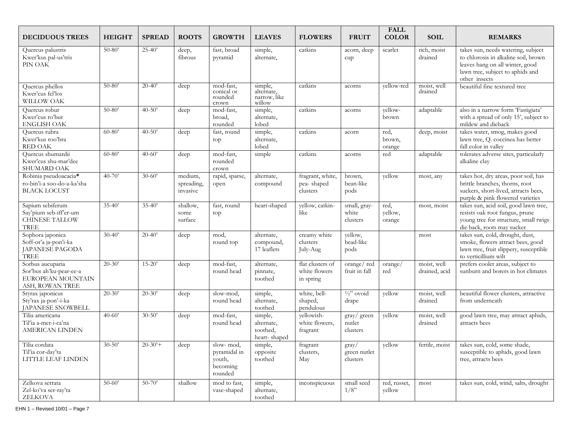| <b>DECIDUOUS TREES</b>                                                              | <b>HEIGHT</b> | <b>SPREAD</b> | <b>ROOTS</b>                      | <b>GROWTH</b>                                              | <b>LEAVES</b>                                     | <b>FLOWERS</b>                                 | <b>FRUIT</b>                                 | <b>FALL</b><br><b>COLOR</b> | <b>SOIL</b>                  | <b>REMARKS</b>                                                                                                                                                     |
|-------------------------------------------------------------------------------------|---------------|---------------|-----------------------------------|------------------------------------------------------------|---------------------------------------------------|------------------------------------------------|----------------------------------------------|-----------------------------|------------------------------|--------------------------------------------------------------------------------------------------------------------------------------------------------------------|
| Quercus palustris<br>Kwer'kus pal-us'tris<br>PIN OAK                                | $50 - 80'$    | $25 - 40'$    | deep,<br>fibrous                  | fast, broad<br>pyramid                                     | simple,<br>alternate,                             | catkins                                        | acorn, deep<br>cupp                          | scarlet                     | rich, moist<br>drained       | takes sun, needs watering, subject<br>to chlorosis in alkaline soil, brown<br>leaves hang on all winter, good<br>lawn tree, subject to aphids and<br>other insects |
| Quercus phellos<br>Kwer'cus fel'los<br>WILLOW OAK                                   | $50 - 80$     | $20-40'$      | deep                              | mod-fast,<br>conical or<br>rounded<br>crown                | simple,<br>alternate,<br>narrow, like<br>willow   | catkins                                        | acorns                                       | yellow-red                  | moist, well<br>drained       | beautiful fine textured tree                                                                                                                                       |
| Quercus robur<br>Kwer'cus ro'bur<br><b>ENGLISH OAK</b>                              | $50 - 80'$    | $40 - 50'$    | $\overline{deep}$                 | mod-fast,<br>broad,<br>rounded                             | simple,<br>alternate,<br>lobed                    | catkins                                        | acorns                                       | vellow-<br>brown            | adaptable                    | also in a narrow form 'Fastigiata'<br>with a spread of only 15', subject to<br>mildew and dieback                                                                  |
| Quercus rubra<br>Kwer'kus roo'bra<br>RED OAK                                        | $60 - 80'$    | $40 - 50'$    | deep                              | fast, round<br>top                                         | simple,<br>alternate,<br>lobed                    | catkins                                        | acorn                                        | red,<br>brown,<br>orange    | deep, moist                  | takes water, smog, makes good<br>lawn tree, Q. coccinea has better<br>fall color in valley                                                                         |
| Quercus shumardii<br>Kwer'cus shu-mar'dee<br>SHUMARD OAK                            | $60 - 80'$    | $40 - 60'$    | deep                              | mod-fast,<br>rounded<br>crown                              | simple                                            | catkins                                        | acorns                                       | red                         | adaptable                    | tolerates adverse sites, particularly<br>alkaline clay                                                                                                             |
| Robinia pseudoacacia*<br>ro-bin'i-a soo-do-a-ka'sha<br><b>BLACK LOCUST</b>          | $40 - 70'$    | $30 - 60'$    | medium,<br>spreading,<br>invasive | rapid, sparse,<br>open                                     | alternate,<br>compound                            | fragrant, white,<br>pea-shaped<br>clusters     | brown,<br>bean-like<br>pods                  | yellow                      | most, any                    | takes hot, dry areas, poor soil, has<br>brittle branches, thorns, root<br>suckers, short-lived, attracts bees,<br>purple & pink flowered varieties                 |
| Sapium sebiferum<br>Say'pium seb-iff'er-um<br>CHINESE TALLOW<br>TREE                | $35 - 40'$    | $35 - 40'$    | shallow,<br>some<br>surface       | fast, round<br>top                                         | heart-shaped                                      | yellow, catkin-<br>like                        | small, gray-<br>white<br>clusters            | red,<br>yellow,<br>orange   | most, moist                  | takes sun, acid soil, good lawn tree,<br>resists oak root fungus, prune<br>young tree for structure, small twigs<br>die back, roots may sucker                     |
| Sophora japonica<br>Soff-or'a ja-pon'i-ka<br>JAPANESE PAGODA<br><b>TREE</b>         | $30 - 40'$    | $20 - 40'$    | deep                              | mod,<br>round top                                          | alternate,<br>compound,<br>17 leaflets            | creamy white<br>clusters<br>July-Aug           | yellow,<br>bead-like<br>pods                 |                             | most                         | takes sun, cold, drought, dust,<br>smoke, flowers attract bees, good<br>lawn tree, fruit slippery, susceptible<br>to verticillium wilt                             |
| Sorbus aucuparia<br>Sor'bus ah'ku-pear-ee-a<br>EUROPEAN MOUNTAIN<br>ASH, ROWAN TREE | $20 - 30'$    | $15 - 20'$    | deep                              | mod-fast,<br>round head                                    | alternate,<br>pinnate,<br>toothed                 | flat clusters of<br>white flowers<br>in spring | orange/red<br>fruit in fall                  | orange/<br>red              | moist, well<br>drained, acid | prefers cooler areas, subject to<br>sunburn and borers in hot climates                                                                                             |
| Styrax japonicus<br>Sty'rax ja-pon'-i-ka<br><b>JAPANESE SNOWBELL</b>                | $20 - 30'$    | $20 - 30'$    | deep                              | slow-mod,<br>round head                                    | simple,<br>alternate,<br>toothed                  | white, bell-<br>shaped,<br>pendulous           | $\frac{1}{2}$ " ovoid<br>drape               | yellow                      | moist, well<br>drained       | beautiful flower clusters, attractive<br>from underneath                                                                                                           |
| Tilia americana<br>Til'ia a-mer-i-ca'na<br><b>AMERICAN LINDEN</b>                   | $40 - 60'$    | $30 - 50'$    | deep                              | mod-fast,<br>round head                                    | simple,<br>alternate,<br>toothed,<br>heart-shaped | yellowish-<br>white flowers,<br>fragrant       | gray/green<br>nutlet<br>clusters             | yellow                      | moist, well<br>drained       | good lawn tree, may attract aphids,<br>attracts bees                                                                                                               |
| Tilia cordata<br>Til'ia cor-day'ta<br>LITTLE LEAF LINDEN                            | $30 - 50'$    | $20-30'$ +    | deep                              | slow-mod,<br>pyramidal in<br>youth,<br>becoming<br>rounded | simple,<br>opposite<br>toothed                    | fragrant<br>clusters,<br>May                   | $\frac{gray}{ }$<br>green nutlet<br>clusters | yellow                      | fertile, moist               | takes sun, cold, some shade,<br>susceptible to aphids, good lawn<br>tree, attracts bees                                                                            |
| Zelkova serrata<br>Zel-ko'va ser-ray'ta<br>ZELKOVA                                  | $50 - 60'$    | $50 - 70'$    | shallow                           | mod to fast,<br>vase-shaped                                | simple,<br>alternate,<br>toothed                  | inconspicuous                                  | small seed<br>1/8"                           | red, russet,<br>yellow      | most                         | takes sun, cold, wind, salts, drought                                                                                                                              |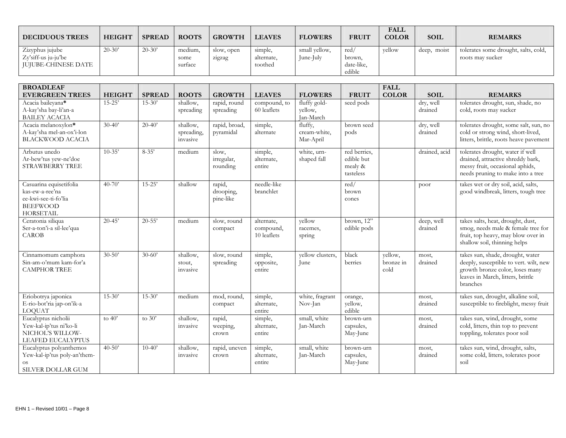| <b>DECIDUOUS TREES</b>                                        | <b>HEIGHT</b> | <b>SPREAD</b> | <b>ROOTS</b>               | <b>GROWTH</b>        | <b>LEAVES</b>                    | <b>FLOWERS</b>             | <b>FRUIT</b>                          | <b>FALL</b><br><b>COLOR</b> | <b>SOIL</b> | <b>REMARKS</b>                                           |
|---------------------------------------------------------------|---------------|---------------|----------------------------|----------------------|----------------------------------|----------------------------|---------------------------------------|-----------------------------|-------------|----------------------------------------------------------|
| Zizyphus jujube<br>Zy'siff-us ju-ju'be<br>IUIUBE-CHINESE DATE | $20-30'$      | $20-30'$      | medium,<br>some<br>surface | slow, open<br>zigzag | simple,<br>alternate,<br>toothed | small vellow,<br>June-July | red<br>brown,<br>date-like,<br>edible | vellow                      | deep, moist | tolerates some drought, salts, cold,<br>roots may sucker |

| <b>BROADLEAF</b><br><b>EVERGREEN TREES</b>                                                                | <b>HEIGHT</b> | <b>SPREAD</b> | <b>ROOTS</b>                       | <b>GROWTH</b>                    | <b>LEAVES</b>                          | <b>FLOWERS</b>                       | <b>FRUIT</b>                                       | <b>FALL</b><br><b>COLOR</b>  | <b>SOIL</b>           | <b>REMARKS</b>                                                                                                                                                 |
|-----------------------------------------------------------------------------------------------------------|---------------|---------------|------------------------------------|----------------------------------|----------------------------------------|--------------------------------------|----------------------------------------------------|------------------------------|-----------------------|----------------------------------------------------------------------------------------------------------------------------------------------------------------|
| Acacia baileyana*<br>A-kay'sha bay-li'an-a<br><b>BAILEY ACACIA</b>                                        | $15 - 25'$    | $15 - 30'$    | shallow.<br>spreading              | rapid, round<br>spreading        | compound, to<br>60 leaflets            | fluffy gold-<br>yellow,<br>Jan-March | seed pods                                          |                              | dry, well<br>drained  | tolerates drought, sun, shade, no<br>cold, roots may sucker                                                                                                    |
| Acacia melanoxylon*<br>A-kay'sha mel-an-ox'i-lon<br><b>BLACKWOOD ACACIA</b>                               | $30-40'$      | $20-40'$      | shallow,<br>spreading,<br>invasive | rapid, broad,<br>pyramidal       | simple,<br>alternate                   | fluffy,<br>cream-white,<br>Mar-April | brown seed<br>pods                                 |                              | dry, well<br>drained  | tolerates drought, some salt, sun, no<br>cold or strong wind, short-lived,<br>litters, brittle, roots heave pavement                                           |
| Arbutus unedo<br>Ar-bew'tus yew-ne'doe<br>STRAWBERRY TREE                                                 | $10-35'$      | $8-35'$       | medium                             | slow,<br>irregular,<br>rounding  | simple,<br>alternate,<br>entire        | white, urn-<br>shaped fall           | red berries,<br>edible but<br>mealy &<br>tasteless |                              | drained, acid         | tolerates drought, water if well<br>drained, attractive shreddy bark,<br>messy fruit, occasional aphids,<br>needs pruning to make into a tree                  |
| Casuarina equisetifolia<br>kas-ew-a-ree'na<br>ee-kwi-see-ti-fo'lia<br><b>BEEFWOOD</b><br><b>HORSETAIL</b> | $40 - 70'$    | $15 - 25'$    | shallow                            | rapid,<br>drooping,<br>pine-like | needle-like<br>branchlet               |                                      | red/<br>brown<br>cones                             |                              | poor                  | takes wet or dry soil, acid, salts,<br>good windbreak, litters, tough tree                                                                                     |
| Ceratonia siliqua<br>Ser-a-ton'i-a sil-lee'qua<br><b>CAROB</b>                                            | $20 - 45'$    | $20 - 55'$    | medium                             | slow, round<br>compact           | alternate,<br>compound,<br>10 leaflets | yellow<br>racemes,<br>spring         | $\overline{\text{brown}, 12"}$<br>edible pods      |                              | deep, well<br>drained | takes salts, heat, drought, dust,<br>smog, needs male & female tree for<br>fruit, top heavy, may blow over in<br>shallow soil, thinning helps                  |
| Cinnamomum camphora<br>Sin-am-o'mum kam-for'a<br><b>CAMPHOR TREE</b>                                      | $30 - 50'$    | $30 - 60'$    | shallow,<br>stout,<br>invasive     | slow, round<br>spreading         | simple,<br>opposite,<br>entire         | yellow clusters,<br>June             | black<br>berries                                   | yellow,<br>bronze in<br>cold | most,<br>drained      | takes sun, shade, drought, water<br>deeply, susceptible to vert. wilt, new<br>growth bronze color, loses many<br>leaves in March, litters, brittle<br>branches |
| Enobotrya japonica<br>E-rio-bot'ria jap-on'ik-a<br><b>LOQUAT</b>                                          | $15-30'$      | $15 - 30'$    | medium                             | mod, round,<br>compact           | simple,<br>alternate,<br>entire        | white, fragrant<br>Nov-Jan           | orange,<br>yellow,<br>edible                       |                              | most,<br>drained      | takes sun, drought, alkaline soil,<br>susceptible to fireblight, messy fruit                                                                                   |
| Eucalyptus nicholii<br>Yew-kal-ip'tus ni'ko-li<br>NICHOL'S WILLOW-<br><b>LEAFED EUCALYPTUS</b>            | to $40'$      | to $30'$      | shallow,<br>invasive               | rapid,<br>weeping,<br>crown      | simple,<br>alternate,<br>entire        | small, white<br>Jan-March            | brown-urn<br>capsules,<br>May-June                 |                              | most,<br>drained      | takes sun, wind, drought, some<br>cold, litters, thin top to prevent<br>toppling, tolerates poor soil                                                          |
| Eucalyptus polyanthemos<br>Yew-kal-ip'tus poly-an'them-<br><b>OS</b><br><b>SILVER DOLLAR GUM</b>          | $40 - 50'$    | $10-40'$      | shallow,<br>invasive               | rapid, uneven<br>crown           | simple,<br>alternate,<br>entire        | small, white<br>Jan-March            | brown-urn<br>capsules,<br>May-June                 |                              | most,<br>drained      | takes sun, wind, drought, salts,<br>some cold, litters, tolerates poor<br>soil                                                                                 |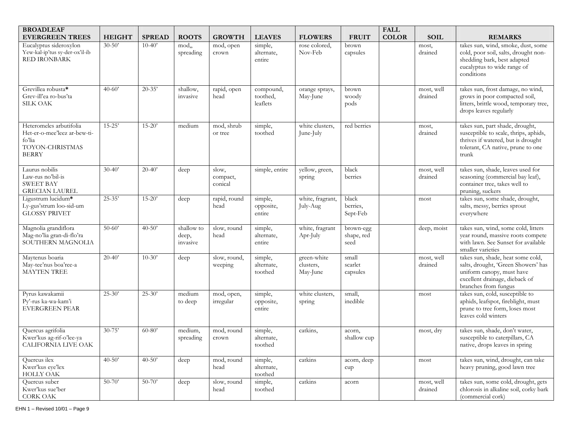| <b>BROADLEAF</b>                                                                                     |               |               |                                 |                              |                                   |                                      |                                 | <b>FALL</b>  |                       |                                                                                                                                                                 |
|------------------------------------------------------------------------------------------------------|---------------|---------------|---------------------------------|------------------------------|-----------------------------------|--------------------------------------|---------------------------------|--------------|-----------------------|-----------------------------------------------------------------------------------------------------------------------------------------------------------------|
| <b>EVERGREEN TREES</b>                                                                               | <b>HEIGHT</b> | <b>SPREAD</b> | <b>ROOTS</b>                    | <b>GROWTH</b>                | <b>LEAVES</b>                     | <b>FLOWERS</b>                       | <b>FRUIT</b>                    | <b>COLOR</b> | <b>SOIL</b>           | <b>REMARKS</b>                                                                                                                                                  |
| Eucalyptus sideroxylon<br>Yew-kal-ip'tus sy-der-ox'il-ib<br>RED IRONBARK                             | $30 - 50'$    | $10-40'$      | mod,<br>spreading               | mod, open<br>crown           | simple,<br>alternate,<br>entire   | rose colored,<br>Nov-Feb             | brown<br>capsules               |              | most,<br>drained      | takes sun, wind, smoke, dust, some<br>cold, poor soil, salts, drought non-<br>shedding bark, best adapted<br>eucalyptus to wide range of<br>conditions          |
| Grevillea robusta*<br>Grev-ill'ea ro-bus'ta<br><b>SILK OAK</b>                                       | $40 - 60'$    | $20 - 35'$    | shallow,<br>invasive            | rapid, open<br>head          | compound,<br>toothed,<br>leaflets | orange sprays,<br>May-June           | brown<br>woody<br>pods          |              | most, well<br>drained | takes sun, frost damage, no wind,<br>grows in poor compacted soil,<br>litters, brittle wood, temporary tree,<br>drops leaves regularly                          |
| Heteromeles arbutifolia<br>Het-er-o-mee'leez ar-bew-ti-<br>fo'lia<br>TOYON-CHRISTMAS<br><b>BERRY</b> | $15 - 25'$    | $15 - 20'$    | medium                          | mod, shrub<br>or tree        | simple,<br>toothed                | white clusters,<br>June-July         | red berries                     |              | most,<br>drained      | takes sun, part shade, drought,<br>susceptible to scale, thrips, aphids,<br>thrives if watered, but is drought<br>tolerant, CA native, prune to one<br>trunk    |
| Laurus nobilis<br>Law-rus no'bil-is<br><b>SWEET BAY</b><br><b>GRECIAN LAUREL</b>                     | $30 - 40'$    | $20 - 40'$    | deep                            | slow,<br>compact,<br>conical | simple, entire                    | yellow, green,<br>spring             | black<br>berries                |              | most, well<br>drained | takes sun, shade, leaves used for<br>seasoning (commercial bay leaf),<br>container tree, takes well to<br>pruning, suckers                                      |
| Ligustrum lucidum*<br>Ly-gus'strum loo-sid-um<br><b>GLOSSY PRIVET</b>                                | $25 - 35'$    | $15 - 20'$    | deep                            | rapid, round<br>head         | simple,<br>opposite,<br>entire    | white, fragrant,<br>July-Aug         | black<br>berries,<br>Sept-Feb   |              | most                  | takes sun, some shade, drought,<br>salts, messy, berries sprout<br>everywhere                                                                                   |
| Magnolia grandiflora<br>Mag-no'lia gran-di-flo'ra<br>SOUTHERN MAGNOLIA                               | $50 - 60'$    | $40 - 50'$    | shallow to<br>deep,<br>invasive | slow, round<br>head          | simple,<br>alternate,<br>entire   | white, fragrant<br>Apr-July          | brown-egg<br>shape, red<br>seed |              | deep, moist           | takes sun, wind, some cold, litters<br>year round, massive roots compete<br>with lawn. See Sunset for available<br>smaller varieties                            |
| Maytenus boaria<br>May-tee'nus boa'ree-a<br><b>MAYTEN TREE</b>                                       | $20 - 40'$    | $10-30'$      | deep                            | slow, round,<br>weeping      | simple,<br>alternate,<br>toothed  | green-white<br>clusters,<br>May-June | small<br>scarlet<br>capsules    |              | most, well<br>drained | takes sun, shade, heat some cold,<br>salts, drought, 'Green Showers' has<br>uniform canopy, must have<br>excellent drainage, dieback of<br>branches from fungus |
| Pyrus kawakamii<br>Py'-rus ka-wa-kam'i<br><b>EVERGREEN PEAR</b>                                      | $25 - 30'$    | $25 - 30'$    | medium<br>to deep               | mod, open,<br>irregular      | simple,<br>opposite,<br>entire    | white clusters,<br>spring            | small,<br>inedible              |              | most                  | takes sun, cold, susceptible to<br>aphids, leafspot, fireblight, must<br>prune to tree form, loses most<br>leaves cold winters                                  |
| Quercus agrifolia<br>Kwer'kus ag-rif-o'lee-ya<br>CALIFORNIA LIVE OAK                                 | $30 - 75'$    | $60 - 80'$    | medium,<br>spreading            | mod, round<br>crown          | simple,<br>alternate,<br>toothed  | catkins,                             | acorn,<br>shallow cup           |              | most, dry             | takes sun, shade, don't water,<br>susceptible to caterpillars, CA<br>native, drops leaves in spring                                                             |
| Quercus ilex<br>Kwer'kus eye'lex<br>HOLLY OAK                                                        | $40 - 50'$    | $40 - 50'$    | $\overline{\text{deep}}$        | mod, round<br>head           | simple,<br>alternate,<br>toothed  | catkins                              | acorn, deep<br>cupp             |              | most                  | takes sun, wind, drought, can take<br>heavy pruning, good lawn tree                                                                                             |
| Quercus suber<br>Kwer'kus sue'ber<br>CORK OAK                                                        | $50 - 70'$    | $50 - 70'$    | deep                            | slow, round<br>head          | simple,<br>toothed                | catkins                              | acorn                           |              | most, well<br>drained | takes sun, some cold, drought, gets<br>chlorosis in alkaline soil, corky bark<br>(commercial cork)                                                              |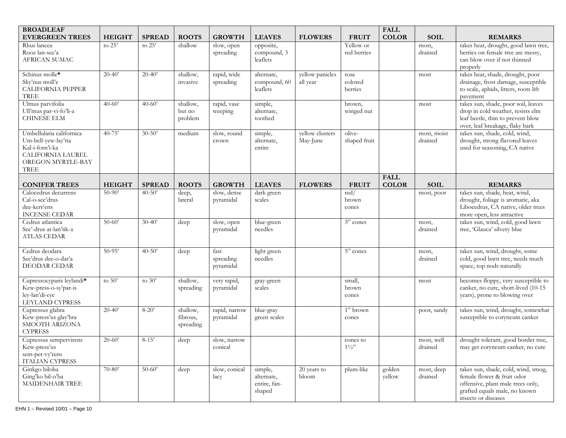| <b>BROADLEAF</b>                                                                                                     |               |               |                                   |                                |                                                 |                                   |                              | <b>FALL</b>                 |                        |                                                                                                                                                                |
|----------------------------------------------------------------------------------------------------------------------|---------------|---------------|-----------------------------------|--------------------------------|-------------------------------------------------|-----------------------------------|------------------------------|-----------------------------|------------------------|----------------------------------------------------------------------------------------------------------------------------------------------------------------|
| <b>EVERGREEN TREES</b>                                                                                               | <b>HEIGHT</b> | <b>SPREAD</b> | <b>ROOTS</b>                      | <b>GROWTH</b>                  | <b>LEAVES</b>                                   | <b>FLOWERS</b>                    | <b>FRUIT</b>                 | <b>COLOR</b>                | <b>SOIL</b>            | <b>REMARKS</b>                                                                                                                                                 |
| Rhus lancea<br>Rooz lan-see'a<br>AFRICAN SUMAC                                                                       | to $25'$      | to $25'$      | shallow                           | slow, open<br>spreading        | opposite,<br>compound, 3<br>leaflets            |                                   | Yellow or<br>red berries     |                             | most,<br>drained       | takes heat, drought, good lawn tree,<br>berries on female tree are messy,<br>can blow over if not thinned<br>properly                                          |
| Schinus molle*<br>Sky'nus moll'e<br><b>CALIFORNIA PEPPER</b><br>TREE                                                 | $20 - 40'$    | $20 - 40'$    | shallow,<br>invasive              | rapid, wide<br>spreading       | alternate,<br>compound, 60<br>leaflets          | yellow panicles<br>all year       | rose<br>colored<br>berries   |                             | most                   | takes heat, shade, drought, poor<br>drainage, frost damage, susceptible<br>to scale, aphids, litters, roots lift<br>pavement                                   |
| Ulmus parvifolia<br>Ull'mus par-vi-fo'li-a<br><b>CHINESE ELM</b>                                                     | $40 - 60'$    | $40 - 60'$    | shallow,<br>but no<br>problem     | rapid, vase<br>weeping         | simple,<br>alternate,<br>toothed                |                                   | brown,<br>winged nut         |                             | most                   | takes sun, shade, poor soil, leaves<br>drop in cold weather, resists elm<br>leaf beetle, thin to prevent blow<br>over, leaf breakage, flaky bark               |
| Umbellularia californica<br>Um-bell-yew-lay'ria<br>Kal-i-forn'i-ka<br>CALIFORNIA LAUREL<br>OREGON MYRTLE-BAY<br>TREE | $40 - 75'$    | $30 - 50'$    | medium                            | slow, round<br>crown           | simple,<br>alternate,<br>entire                 | yellow clusters<br>May-June       | olive-<br>shaped fruit       |                             | most, moist<br>drained | takes sun, shade, cold, wind,<br>drought, strong flavored leaves<br>used for seasoning, CA native                                                              |
| <b>CONIFER TREES</b>                                                                                                 | <b>HEIGHT</b> | <b>SPREAD</b> | <b>ROOTS</b>                      | <b>GROWTH</b>                  | <b>LEAVES</b>                                   | <b>FLOWERS</b>                    | <b>FRUIT</b>                 | <b>FALL</b><br><b>COLOR</b> | <b>SOIL</b>            | <b>REMARKS</b>                                                                                                                                                 |
| Calocedrus decurrens<br>Cal-o-see'drus<br>dee-kerr'ens<br><b>INCENSE CEDAR</b>                                       | $50-90'$      | $40 - 50'$    | deep,<br>lateral                  | slow, dense<br>pyramidal       | dark green<br>scales                            |                                   | red/<br>brown<br>cones       |                             | most, poor             | takes sun, shade, heat, wind,<br>drought, foliage is aromatic, aka<br>Libocedrus, CA native, older trees<br>more open, less attractive                         |
| Cedrus atlantica<br>See'-drus at-lan'tik-a<br><b>ATLAS CEDAR</b>                                                     | $50-60'$      | $30 - 40'$    | deep                              | slow, open<br>pyramidal        | blue-green<br>needles                           |                                   | 3" cones                     |                             | most,<br>drained       | takes sun, wind, cold, good lawn<br>tree, 'Glauca' silvery blue                                                                                                |
| Cedrus deodara<br>See'drus dee-o-dar'a<br>DEODAR CEDAR                                                               | $50-95'$      | $40 - 50'$    | deep                              | fast<br>spreading<br>pyramidal | light green<br>needles                          |                                   | $\overline{5"}$ cones        |                             | most,<br>drained       | takes sun, wind, drought, some<br>cold, good lawn tree, needs much<br>space, top nods naturally                                                                |
| Cupressocyparis leylandi*<br>Kew-press-o-sy'par-is<br>ley-lan'di-eye<br>LEYLAND CYPRESS                              | to $50'$      | to $30'$      | shallow,<br>spreading             | very rapid,<br>pyramidal       | gray-green<br>scales                            |                                   | small,<br>brown<br>cones     |                             | most                   | becomes floppy, very susceptible to<br>canker, no cure, short-lived (10-15<br>years), prone to blowing over                                                    |
| Cupressus glabra<br>Kew-press'us glay'bra<br>SMOOTH ARIZONA<br><b>CYPRESS</b>                                        | $20-40'$      | $8 - 20'$     | shallow,<br>fibrous,<br>spreading | rapid, narrow<br>pyramidal     | blue-gray<br>green scales                       |                                   | 1" brown<br>cones            |                             | poor, sandy            | takes sun, wind, drought, somewhat<br>susceptible to coryneum canker                                                                                           |
| Cupressus sempervirens<br>Kew-press'us<br>sem-per-vy'rens<br>ITALIAN CYPRESS                                         | $20-60'$      | $8 - 15'$     | deep                              | slow, narrow<br>conical        |                                                 |                                   | cones to<br>$1\frac{1}{2}$ " |                             | most, well<br>drained  | drought tolerant, good border tree,<br>may get coryneum canker, no cure                                                                                        |
| Ginkgo biloba<br>Ging'ko bil-o'ba<br>MAIDENHAIR TREE                                                                 | $70-80'$      | $50 - 60'$    | deep                              | slow, conical<br>lacy          | simple,<br>alternate,<br>entire, fan-<br>shaped | $\overline{20}$ years to<br>bloom | plum-like                    | golden<br>yellow            | most, deep<br>drained  | takes sun, shade, cold, wind, smog,<br>female flower & fruit odor<br>offensive, plant male trees only,<br>grafted equals male, no known<br>insects or diseases |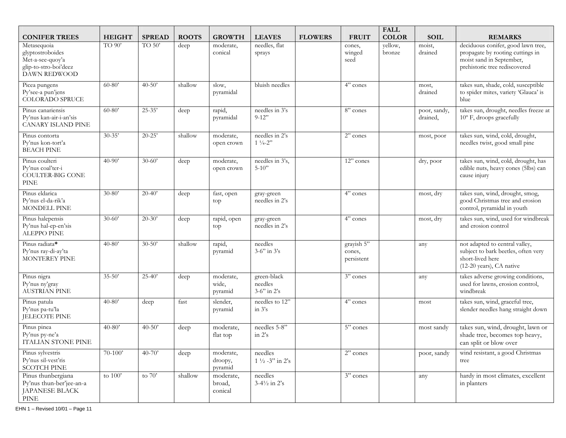| <b>CONIFER TREES</b>                                                                             | <b>HEIGHT</b> | <b>SPREAD</b> | <b>ROOTS</b> | <b>GROWTH</b>                   | <b>LEAVES</b>                               | <b>FLOWERS</b> | <b>FRUIT</b>                       | <b>FALL</b><br><b>COLOR</b> | <b>SOIL</b>              | <b>REMARKS</b>                                                                                                        |
|--------------------------------------------------------------------------------------------------|---------------|---------------|--------------|---------------------------------|---------------------------------------------|----------------|------------------------------------|-----------------------------|--------------------------|-----------------------------------------------------------------------------------------------------------------------|
| Metasequoia                                                                                      | TO 90'        | TO 50'        | deep         | moderate,                       | needles, flat                               |                | cones,                             | yellow,                     | moist,                   | deciduous conifer, good lawn tree,                                                                                    |
| glyptostroboides<br>Met-a-see-quoy'a<br>glip-to-stro-boi'deez<br><b>DAWN REDWOOD</b>             |               |               |              | conical                         | sprays                                      |                | winged<br>seed                     | bronze                      | drained                  | propagate by rooting cuttings in<br>moist sand in September,<br>prehistoric tree rediscovered                         |
| Picea pungens<br>Py'see-a pun'jens<br><b>COLORADO SPRUCE</b>                                     | $60 - 80'$    | $40 - 50'$    | shallow      | slow,<br>pyramidal              | bluish needles                              |                | 4" cones                           |                             | most,<br>drained         | takes sun, shade, cold, susceptible<br>to spider mites, variety 'Glauca' is<br>blue                                   |
| Pinus canariensis<br>Py'nus kan-air-i-an'sis<br><b>CANARY ISLAND PINE</b>                        | $60 - 80'$    | $25 - 35'$    | deep         | rapid,<br>pyramidal             | needles in 3's<br>$9-12"$                   |                | 8" cones                           |                             | poor, sandy,<br>drained, | takes sun, drought, needles freeze at<br>10° F, droops gracefully                                                     |
| Pinus contorta<br>Py'nus kon-tort'a<br><b>BEACH PINE</b>                                         | $30 - 35'$    | $20 - 25'$    | shallow      | moderate,<br>open crown         | needles in 2's<br>$1\frac{1}{4} - 2$ "      |                | $2$ " cones                        |                             | most, poor               | takes sun, wind, cold, drought,<br>needles twist, good small pine                                                     |
| Pinus coulteri<br>Py'nus coal'ter-i<br>COULTER-BIG CONE<br><b>PINE</b>                           | $40 - 90'$    | $30 - 60'$    | deep         | moderate,<br>open crown         | needles in 3's,<br>$5 - 10$ "               |                | 12" cones                          |                             | dry, poor                | takes sun, wind, cold, drought, has<br>edible nuts, heavy cones (5lbs) can<br>cause injury                            |
| Pinus eldarica<br>Py'nus el-da-rik'a<br>MONDELL PINE                                             | $30 - 80'$    | $20 - 40'$    | deep         | fast, open<br>top               | gray-green<br>needles in 2's                |                | $4"$ cones                         |                             | most, dry                | takes sun, wind, drought, smog,<br>good Christmas tree and erosion<br>control, pyramidal in youth                     |
| Pinus halepensis<br>Py'nus hal-ep-en'sis<br>ALEPPO PINE                                          | $30 - 60'$    | $20 - 30'$    | deep         | rapid, open<br>top              | gray-green<br>needles in 2's                |                | 4" cones                           |                             | most, dry                | takes sun, wind, used for windbreak<br>and erosion control                                                            |
| Pinus radiata*<br>Py'nus ray-di-ay'ta<br><b>MONTEREY PINE</b>                                    | $40 - 80'$    | $30 - 50'$    | shallow      | rapid,<br>pyramid               | needles<br>$3-6$ " in $3\textdegree$        |                | grayish 5"<br>cones,<br>persistent |                             | any                      | not adapted to central valley,<br>subject to bark beetles, often very<br>short-lived here<br>(12-20 years), CA native |
| Pinus nigra<br>Py'nus ny'gray<br><b>AUSTRIAN PINE</b>                                            | $35 - 50'$    | $25 - 40'$    | deep         | moderate,<br>wide,<br>pyramid   | green-black<br>needles<br>$3-6$ " in $2$ 's |                | 3" cones                           |                             | any                      | takes adverse growing conditions,<br>used for lawns, erosion control,<br>windbreak                                    |
| Pinus patula<br>Py'nus pa-tu'la<br>JELECOTE PINE                                                 | $40 - 80'$    | deep          | fast         | slender,<br>pyramid             | needles to 12"<br>in $3's$                  |                | 4" cones                           |                             | most                     | takes sun, wind, graceful tree,<br>slender needles hang straight down                                                 |
| Pinus pinea<br>Py'nus py-ne'a<br>ITALIAN STONE PINE                                              | $40 - 80'$    | $40 - 50'$    | deep         | moderate,<br>flat top           | needles 5-8"<br>in $2's$                    |                | 5" cones                           |                             | most sandy               | takes sun, wind, drought, lawn or<br>shade tree, becomes top heavy,<br>can split or blow over                         |
| Pinus sylvestris<br>Py'nus sil-vest'ris<br><b>SCOTCH PINE</b>                                    | $70 - 100'$   | $40 - 70'$    | deep         | moderate,<br>droopy,<br>pyramid | needles<br>$1\frac{1}{2} - 3$ " in 2's      |                | 2" cones                           |                             | poor, sandy              | wind resistant, a good Christmas<br>tree                                                                              |
| Pinus thunbergiana<br>Py'nus thun-ber'jee-an-a<br>JAPANESE BLACK<br>$\ensuremath{\mathrm{PINE}}$ | to $100'$     | to $70'$      | shallow      | moderate,<br>broad,<br>conical  | needles<br>$3-4\frac{1}{2}$ in 2's          |                | $\overline{3"}$ cones              |                             | any                      | hardy in most climates, excellent<br>in planters                                                                      |

EHN 1 – Revised 10/01 – Page 11